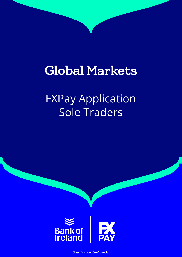# Global Markets

FXPay Application Sole Traders



**Classification: Confidential**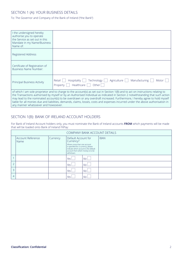## SECTION 1 (A): YOUR BUSINESS DETAILS

To: The Governor and Company of the Bank of Ireland (''the Bank'')

| I the undersigned hereby<br>authorise you to operate<br>the Service as set out in this<br>Mandate in my Name/Business<br>Name of: |                                                                                                                                                                                                                                                                                                                                                                                                                                                                                                                                       |
|-----------------------------------------------------------------------------------------------------------------------------------|---------------------------------------------------------------------------------------------------------------------------------------------------------------------------------------------------------------------------------------------------------------------------------------------------------------------------------------------------------------------------------------------------------------------------------------------------------------------------------------------------------------------------------------|
| Registered Address                                                                                                                |                                                                                                                                                                                                                                                                                                                                                                                                                                                                                                                                       |
| Certificate of Registration of<br>Business Name Number:                                                                           |                                                                                                                                                                                                                                                                                                                                                                                                                                                                                                                                       |
| Principal Business Activity                                                                                                       | Agriculture    <br>Hospitality $\vert \ \vert$<br>Manufacturing<br>Technology  <br>Retail<br>Motor<br>Healthcare  <br>Other  <br>Property                                                                                                                                                                                                                                                                                                                                                                                             |
| any manner whatsoever and howsoever.                                                                                              | of which I am sole proprietor and to charge to the account(s) as set out in Section 1(B) and to act on instructions relating to<br>the Transactions authorised by myself or by an Authorised Individual as indicated in Section 2 notwithstanding that such action<br>may lead to the nominated account(s) to be overdrawn or any overdraft increased. Furthermore, I hereby agree to hold myself<br>liable for all monies due and liabilities, demands, claims, losses, costs and expenses incurred under the above authorisation in |

## SECTION 1(B): BANK OF IRELAND ACCOUNT HOLDERS

For Bank of Ireland Account holders only, you must nominate the Bank of Ireland accounts **FROM** which payments will be made that will be loaded onto Bank of Ireland FXPay:

| COMPANY BANK ACCOUNT DETAILS |                           |          |                                                                                                                                                                                                    |  |             |  |  |  |
|------------------------------|---------------------------|----------|----------------------------------------------------------------------------------------------------------------------------------------------------------------------------------------------------|--|-------------|--|--|--|
|                              | Account Reference<br>Name | Currency | Default Account for<br>Currency?<br>Where more than one account<br>is specified for a currency, please<br>indicate which account is the default<br>account from which money is to be<br>withdrawn. |  | <b>IBAN</b> |  |  |  |
|                              |                           |          | No.<br>Yes I                                                                                                                                                                                       |  |             |  |  |  |
|                              |                           |          | No.<br>Yes I                                                                                                                                                                                       |  |             |  |  |  |
| 3                            |                           |          | No.<br>Yes L                                                                                                                                                                                       |  |             |  |  |  |
| 4                            |                           |          | Yes I<br>No.                                                                                                                                                                                       |  |             |  |  |  |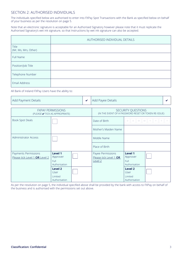## SECTION 2: AUTHORISED INDIVIDUALS

The individuals specified below are authorised to enter into FXPay Spot Transactions with the Bank as specified below on behalf of your business as per the resolution on page 5.

Note that an electronic signature is acceptable for an Authorised Signatory however please note that it must replicate the Authorised Signatory's wet ink signature, so that Instructions by wet ink signature can also be accepted.

|                               | AUTHORISED INDIVIDUAL DETAILS |  |  |  |  |
|-------------------------------|-------------------------------|--|--|--|--|
| Title<br>(Mr, Ms, Mrs, Other) |                               |  |  |  |  |
| Full Name                     |                               |  |  |  |  |
| Position/Job Title            |                               |  |  |  |  |
| Telephone Number              |                               |  |  |  |  |
| Email Address                 |                               |  |  |  |  |

All Bank of Ireland FXPay Users have the ability to:

| <b>Add Payment Details</b>                                 |                                                         | $\mathbf v$ | Add Payee Details                                                          |                                                         |  |  |
|------------------------------------------------------------|---------------------------------------------------------|-------------|----------------------------------------------------------------------------|---------------------------------------------------------|--|--|
| <b>FXPAY PERMISSIONS</b><br>(PLEASE ✔ TICK AS APPROPRIATE) |                                                         |             | SECURITY QUESTIONS<br>(IN THE EVENT OF A PASSWORD RESET OR TOKEN RE-ISSUE) |                                                         |  |  |
| <b>Book Spot Deals</b>                                     |                                                         |             | Date of Birth                                                              | D M M                                                   |  |  |
|                                                            |                                                         |             | Mother's Maiden Name                                                       |                                                         |  |  |
| <b>Administrator Access</b>                                |                                                         |             | Middle Name                                                                |                                                         |  |  |
|                                                            |                                                         |             | Place of Birth                                                             |                                                         |  |  |
| Payments Permissions<br>Please tick Level 1 OR Level 2     | Level 1<br>Approver<br>Full<br>Authorisation<br>Level 2 |             | Payee Permissions<br>Please tick Level 1 OR<br>Level <sub>2</sub>          | Level 1<br>Approver<br>Full<br>Authorisation<br>Level 2 |  |  |
|                                                            | User<br>Limited<br>Authorisation                        |             |                                                                            | User<br>Limited<br>Authorisation                        |  |  |

As per the resolution on page 5, the individual specified above shall be provided by the bank with access to FXPay on behalf of the business and is authorised with the permissions set out above.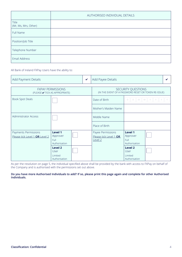|                               | AUTHORISED INDIVIDUAL DETAILS |
|-------------------------------|-------------------------------|
| Title<br>(Mr, Ms, Mrs, Other) |                               |
| Full Name                     |                               |
| Position/Job Title            |                               |
| Telephone Number              |                               |
| Email Address                 |                               |

All Bank of Ireland FXPay Users have the ability to:

| Add Payment Details                                        |                                                                      |  | Add Payee Details                                                          |                                                    |  |  |
|------------------------------------------------------------|----------------------------------------------------------------------|--|----------------------------------------------------------------------------|----------------------------------------------------|--|--|
| <b>FXPAY PERMISSIONS</b><br>(PLEASE ✔ TICK AS APPROPRIATE) |                                                                      |  | SECURITY QUESTIONS<br>(IN THE EVENT OF A PASSWORD RESET OR TOKEN RE-ISSUE) |                                                    |  |  |
| Book Spot Deals                                            |                                                                      |  | Date of Birth                                                              | D M M<br>D.                                        |  |  |
|                                                            |                                                                      |  | Mother's Maiden Name                                                       |                                                    |  |  |
| Administrator Access                                       |                                                                      |  | Middle Name                                                                |                                                    |  |  |
|                                                            |                                                                      |  | Place of Birth                                                             |                                                    |  |  |
| Payments Permissions<br>Please tick Level 1 OR Level 2     | Level 1<br>Approver<br>Full<br>Authorisation                         |  | Payee Permissions<br>Please tick Level 1 OR<br>Level 2                     | Level 1<br>Approver<br>Full<br>Authorisation       |  |  |
|                                                            | Level <sub>2</sub><br><b>User</b><br><b>Limited</b><br>Authorisation |  |                                                                            | Level 2<br>User<br><b>Limited</b><br>Authorisation |  |  |

As per the resolution on page 5, the individual specified above shall be provided by the bank with access to FXPay on behalf of the Company and is authorised with the permissions set out above.

**Do you have more Authorised Individuals to add? If so, please print this page again and complete for other Authorised Individuals.**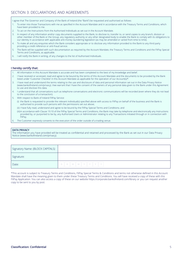I agree that The Governor and Company of the Bank of Ireland (the "Bank") be requested and authorised as follows:

- 1. To enter into those Transactions with me as specified in the Account Mandate and in accordance with the Treasury Terms and Conditions, which have been provided to me.
- 2. To act on the Instructions from the Authorised Individuals as set out in the Account Mandate.
- 3. In respect of any information and/or copy documents supplied to the Bank, to disclose to, transfer to, or send copies to any branch, division or other member of the Bank or the Group, any regulatory authority or any other designated body to enable the Bank to comply with its obligations to our identity in accordance with applicable anti-money laundering legislation (as may be amended or varied from time to time).
- 4. To make all and any enquiries which the Bank considers appropriate or to disclose any information provided to the Bank to any third party providing a credit reference or anti-fraud service.
- 5. The Bank will be supplied with such documentation as required by the Account Mandate, the Treasury Terms and Conditions and the FXPay Special Terms and Conditions, as applicable.
- 6. I will notify the Bank in writing, of any changes to the list of Authorised Individuals.

### **I hereby certify that:**

- 1. All information in this Account Mandate is accurate and has been completed to the best of my knowledge and belief.
- 2. I have received or accessed, read and agree to be bound by the terms of this Account Mandate and the documents to be provided by the Bank listed under 'Customer Checklist' in this Account Mandate as applicable for the operation of our Account(s)\*.
- 3. I have read and understand the terms relating to the use and disclosure of data and personal information set out in the Data Privacy Notice (www.bankofireland.com/privacy). I/we warrant that I have the consent of the owners of any personal data given to the Bank under this Agreement to use and disclose this data.
- 4. I understand that all conversations such as telephone conversations and electronic communications will be recorded (even where they do not lead to the conclusion of a transaction).
- 5. With respect to Bank of Ireland FXPay Service:
	- (i) the Bank is requested to provide the relevant individual(s) specified above with access to FXPay on behalf of the business and the Bank is authorised to provide such persons with the permissions set out above;
	- (ii) I have fully read, understand and agree to be bound by the FXPay Special Terms and Conditions; and
	- (iii)in accordance with Clause 19.10 of the FXPay Special Terms and Conditions, the Bank may take by telephone and electronically any Instructions provided by, or purported to be by, any Authorised Users or Administrator relating to any Transactions initiated through or in connection with FXPay.
- 6. The Customer expressly consents to the execution of the order outside of a trading venue.

#### **DATA PRIVACY**

The information you have provided will be treated as confidential and retained and processed by the Bank as set out in our Data Privacy Notice (www.bankofireland.com/privacy).

| Signatory Name: (BLOCK CAPITALS) |  |
|----------------------------------|--|
| Signature:                       |  |
| Date:                            |  |

\*This account is subject to Treasury Terms and Conditions, FXPay Special Terms & Conditions and terms not otherwise defined in this Account Mandate shall have the meaning given to them under these Treasury Terms and Conditions. You will have received a copy of these with this FXPay Application. You can also access a copy of these on our website https://corporate.bankofireland.com/library or you can request another copy to be sent to you by post.